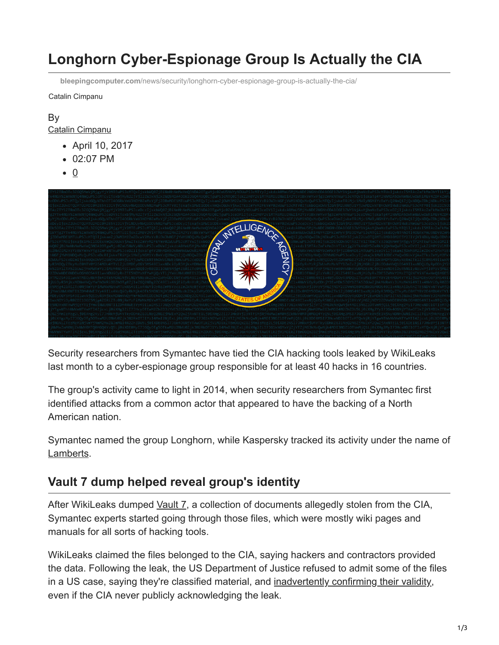# **Longhorn Cyber-Espionage Group Is Actually the CIA**

**bleepingcomputer.com**[/news/security/longhorn-cyber-espionage-group-is-actually-the-cia/](https://www.bleepingcomputer.com/news/security/longhorn-cyber-espionage-group-is-actually-the-cia/)

Catalin Cimpanu

#### By [Catalin Cimpanu](https://www.bleepingcomputer.com/author/catalin-cimpanu/)

- April 10, 2017
- 02:07 PM
- $\bullet$  0



Security researchers from Symantec have tied the CIA hacking tools leaked by WikiLeaks last month to a cyber-espionage group responsible for at least 40 hacks in 16 countries.

The group's activity came to light in 2014, when security researchers from Symantec first identified attacks from a common actor that appeared to have the backing of a North American nation.

Symantec named the group Longhorn, while Kaspersky tracked its activity under the name of [Lamberts](https://twitter.com/craiu/status/851439571254562816).

### **Vault 7 dump helped reveal group's identity**

After WikiLeaks dumped [Vault 7,](https://www.bleepingcomputer.com/tag/vault-7/) a collection of documents allegedly stolen from the CIA, Symantec experts started going through those files, which were mostly wiki pages and manuals for all sorts of hacking tools.

WikiLeaks claimed the files belonged to the CIA, saying hackers and contractors provided the data. Following the leak, the US Department of Justice refused to admit some of the files in a US case, saying they're classified material, and [inadvertently confirming their validity,](https://motherboard.vice.com/en_us/article/whoops-the-doj-may-have-confirmed-some-of-the-wikileaks-cia-dump?utm_source=mbtwitter) even if the CIA never publicly acknowledging the leak.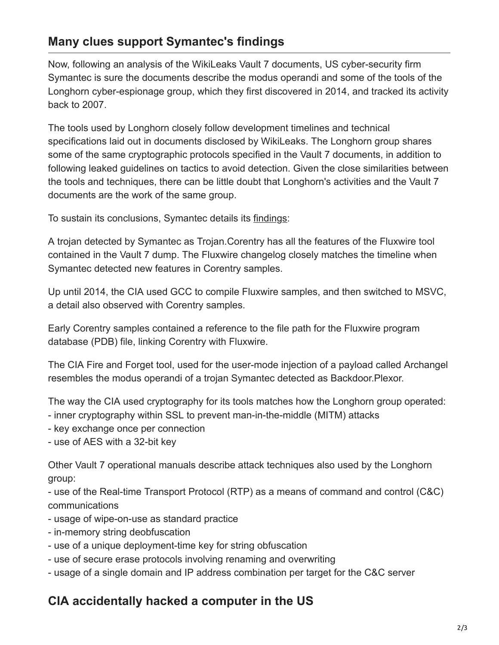### **Many clues support Symantec's findings**

Now, following an analysis of the WikiLeaks Vault 7 documents, US cyber-security firm Symantec is sure the documents describe the modus operandi and some of the tools of the Longhorn cyber-espionage group, which they first discovered in 2014, and tracked its activity back to 2007.

The tools used by Longhorn closely follow development timelines and technical specifications laid out in documents disclosed by WikiLeaks. The Longhorn group shares some of the same cryptographic protocols specified in the Vault 7 documents, in addition to following leaked guidelines on tactics to avoid detection. Given the close similarities between the tools and techniques, there can be little doubt that Longhorn's activities and the Vault 7 documents are the work of the same group.

To sustain its conclusions, Symantec details its [findings](https://www.symantec.com/connect/blogs/longhorn-tools-used-cyberespionage-group-linked-vault-7):

A trojan detected by Symantec as Trojan.Corentry has all the features of the Fluxwire tool contained in the Vault 7 dump. The Fluxwire changelog closely matches the timeline when Symantec detected new features in Corentry samples.

Up until 2014, the CIA used GCC to compile Fluxwire samples, and then switched to MSVC, a detail also observed with Corentry samples.

Early Corentry samples contained a reference to the file path for the Fluxwire program database (PDB) file, linking Corentry with Fluxwire.

The CIA Fire and Forget tool, used for the user-mode injection of a payload called Archangel resembles the modus operandi of a trojan Symantec detected as Backdoor.Plexor.

The way the CIA used cryptography for its tools matches how the Longhorn group operated:

- inner cryptography within SSL to prevent man-in-the-middle (MITM) attacks
- key exchange once per connection
- use of AES with a 32-bit key

Other Vault 7 operational manuals describe attack techniques also used by the Longhorn group:

- use of the Real-time Transport Protocol (RTP) as a means of command and control (C&C) communications

- usage of wipe-on-use as standard practice
- in-memory string deobfuscation
- use of a unique deployment-time key for string obfuscation
- use of secure erase protocols involving renaming and overwriting
- usage of a single domain and IP address combination per target for the C&C server

## **CIA accidentally hacked a computer in the US**